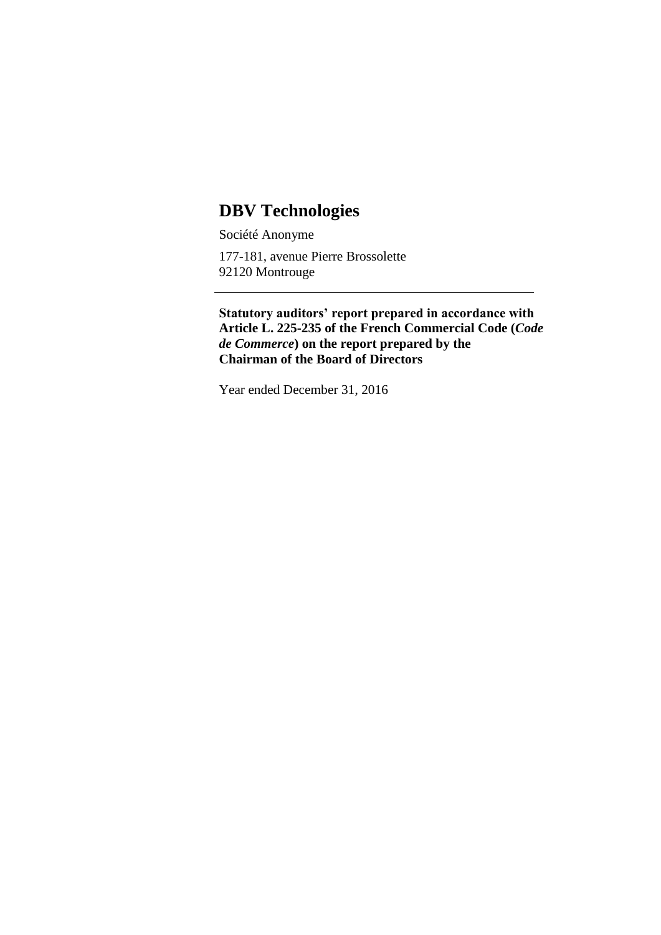# **DBV Technologies**

Société Anonyme

177-181, avenue Pierre Brossolette 92120 Montrouge

**Statutory auditors' report prepared in accordance with Article L. 225-235 of the French Commercial Code (***Code de Commerce***) on the report prepared by the Chairman of the Board of Directors**

Year ended December 31, 2016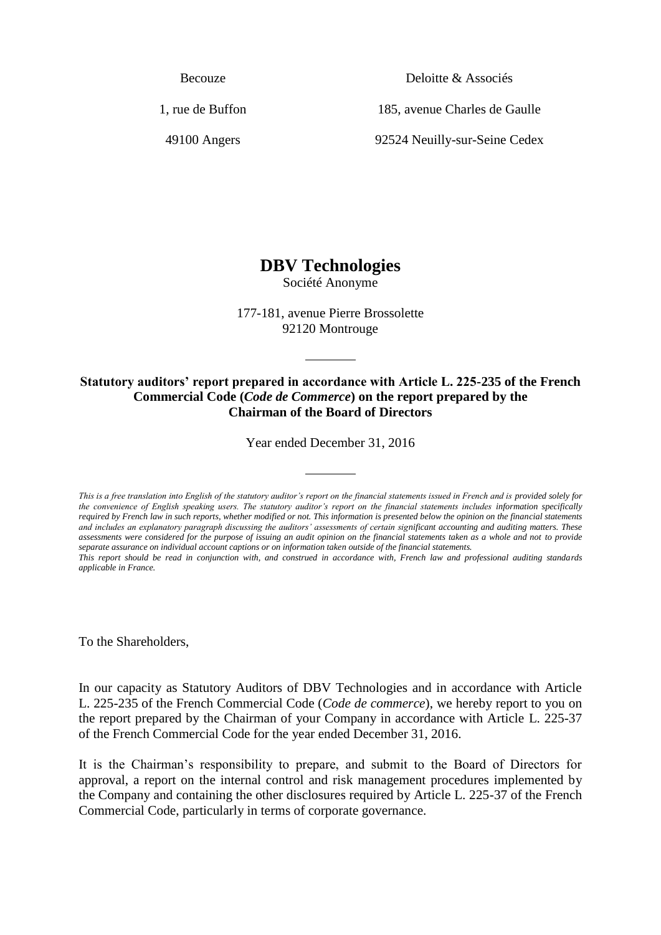Becouze

1, rue de Buffon

49100 Angers

Deloitte & Associés

185, avenue Charles de Gaulle

92524 Neuilly-sur-Seine Cedex

## **DBV Technologies**

Société Anonyme

177-181, avenue Pierre Brossolette 92120 Montrouge

#### **Statutory auditors' report prepared in accordance with Article L. 225-235 of the French Commercial Code (***Code de Commerce***) on the report prepared by the Chairman of the Board of Directors**

Year ended December 31, 2016

*This is a free translation into English of the statutory auditor's report on the financial statements issued in French and is provided solely for*  the convenience of English speaking users. The statutory auditor's report on the financial statements includes information specifically *required by French law in such reports, whether modified or not. This information is presented below the opinion on the financial statements and includes an explanatory paragraph discussing the auditors' assessments of certain significant accounting and auditing matters. These assessments were considered for the purpose of issuing an audit opinion on the financial statements taken as a whole and not to provide separate assurance on individual account captions or on information taken outside of the financial statements.* 

*This report should be read in conjunction with, and construed in accordance with, French law and professional auditing standards applicable in France.*

To the Shareholders,

In our capacity as Statutory Auditors of DBV Technologies and in accordance with Article L. 225-235 of the French Commercial Code (*Code de commerce*), we hereby report to you on the report prepared by the Chairman of your Company in accordance with Article L. 225-37 of the French Commercial Code for the year ended December 31, 2016.

It is the Chairman's responsibility to prepare, and submit to the Board of Directors for approval, a report on the internal control and risk management procedures implemented by the Company and containing the other disclosures required by Article L. 225-37 of the French Commercial Code, particularly in terms of corporate governance.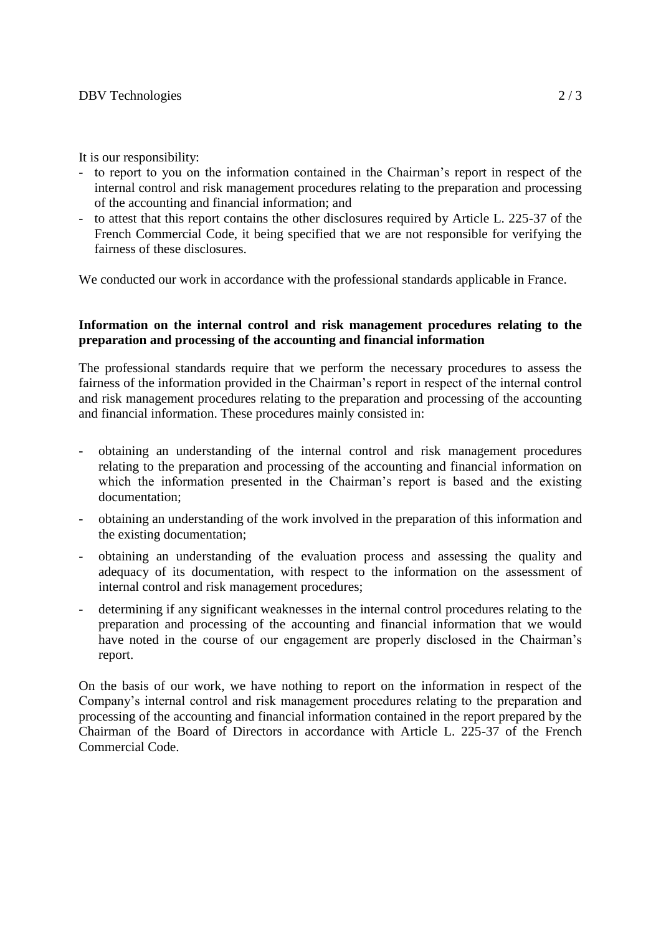It is our responsibility:

- to report to you on the information contained in the Chairman's report in respect of the internal control and risk management procedures relating to the preparation and processing of the accounting and financial information; and
- to attest that this report contains the other disclosures required by Article L. 225-37 of the French Commercial Code, it being specified that we are not responsible for verifying the fairness of these disclosures.

We conducted our work in accordance with the professional standards applicable in France.

#### **Information on the internal control and risk management procedures relating to the preparation and processing of the accounting and financial information**

The professional standards require that we perform the necessary procedures to assess the fairness of the information provided in the Chairman's report in respect of the internal control and risk management procedures relating to the preparation and processing of the accounting and financial information. These procedures mainly consisted in:

- obtaining an understanding of the internal control and risk management procedures relating to the preparation and processing of the accounting and financial information on which the information presented in the Chairman's report is based and the existing documentation;
- obtaining an understanding of the work involved in the preparation of this information and the existing documentation;
- obtaining an understanding of the evaluation process and assessing the quality and adequacy of its documentation, with respect to the information on the assessment of internal control and risk management procedures;
- determining if any significant weaknesses in the internal control procedures relating to the preparation and processing of the accounting and financial information that we would have noted in the course of our engagement are properly disclosed in the Chairman's report.

On the basis of our work, we have nothing to report on the information in respect of the Company's internal control and risk management procedures relating to the preparation and processing of the accounting and financial information contained in the report prepared by the Chairman of the Board of Directors in accordance with Article L. 225-37 of the French Commercial Code.